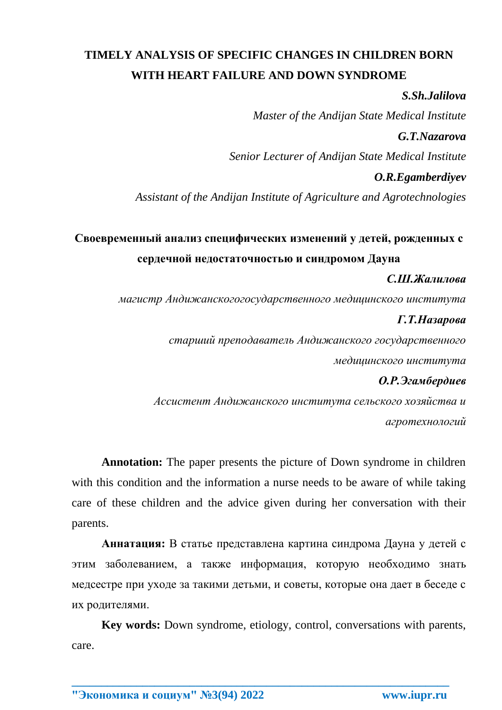# **TIMELY ANALYSIS OF SPECIFIC CHANGES IN CHILDREN BORN WITH HEART FAILURE AND DOWN SYNDROME**

### *S.Sh.Jalilova*

*Master of the Andijan State Medical Institute*

## *G.T.Nazarova*

*Senior Lecturer of Andijan State Medical Institute*

### *O.R.Egamberdiyev*

*Assistant of the Andijan Institute of Agriculture and Agrotechnologies*

# **Своевременный анализ специфических изменений у детей, рожденных с сердечной недостаточностью и синдромом Дауна**

### *С.Ш.Жалилова*

*магистр Андижанскогогосударственного медицинского института*

### *Г.Т.Назарова*

*старший преподаватель Андижанского государственного медицинского института*

### *О.Р.Эгамбердиев*

*Ассистент Андижанского института сельского хозяйства и агротехнологий*

**Annotation:** The paper presents the picture of Down syndrome in children with this condition and the information a nurse needs to be aware of while taking care of these children and the advice given during her conversation with their parents.

**Аннатация:** В статье представлена картина синдрома Дауна у детей с этим заболеванием, а также информация, которую необходимо знать медсестре при уходе за такими детьми, и советы, которые она дает в беседе с их родителями.

**Key words:** Down syndrome, etiology, control, conversations with parents, care.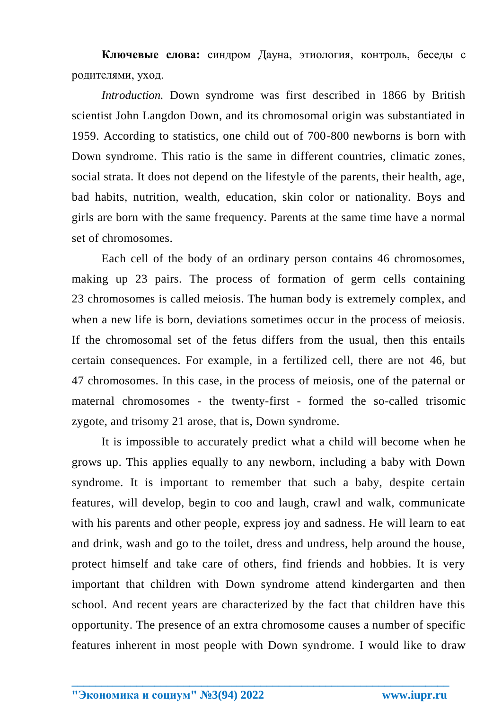**Ключевые слова:** синдром Дауна, этиология, контроль, беседы с родителями, уход.

*Introduction.* Down syndrome was first described in 1866 by British scientist John Langdon Down, and its chromosomal origin was substantiated in 1959. According to statistics, one child out of 700-800 newborns is born with Down syndrome. This ratio is the same in different countries, climatic zones, social strata. It does not depend on the lifestyle of the parents, their health, age, bad habits, nutrition, wealth, education, skin color or nationality. Boys and girls are born with the same frequency. Parents at the same time have a normal set of chromosomes.

Each cell of the body of an ordinary person contains 46 chromosomes, making up 23 pairs. The process of formation of germ cells containing 23 chromosomes is called meiosis. The human body is extremely complex, and when a new life is born, deviations sometimes occur in the process of meiosis. If the chromosomal set of the fetus differs from the usual, then this entails certain consequences. For example, in a fertilized cell, there are not 46, but 47 chromosomes. In this case, in the process of meiosis, one of the paternal or maternal chromosomes - the twenty-first - formed the so-called trisomic zygote, and trisomy 21 arose, that is, Down syndrome.

It is impossible to accurately predict what a child will become when he grows up. This applies equally to any newborn, including a baby with Down syndrome. It is important to remember that such a baby, despite certain features, will develop, begin to coo and laugh, crawl and walk, communicate with his parents and other people, express joy and sadness. He will learn to eat and drink, wash and go to the toilet, dress and undress, help around the house, protect himself and take care of others, find friends and hobbies. It is very important that children with Down syndrome attend kindergarten and then school. And recent years are characterized by the fact that children have this opportunity. The presence of an extra chromosome causes a number of specific features inherent in most people with Down syndrome. I would like to draw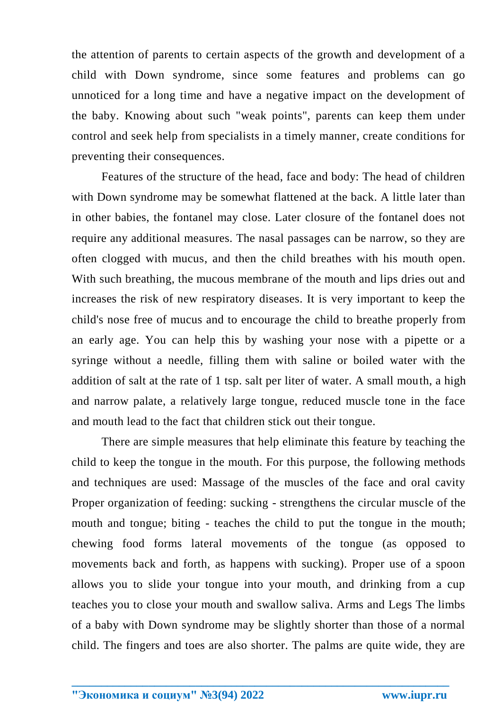the attention of parents to certain aspects of the growth and development of a child with Down syndrome, since some features and problems can go unnoticed for a long time and have a negative impact on the development of the baby. Knowing about such "weak points", parents can keep them under control and seek help from specialists in a timely manner, create conditions for preventing their consequences.

Features of the structure of the head, face and body: The head of children with Down syndrome may be somewhat flattened at the back. A little later than in other babies, the fontanel may close. Later closure of the fontanel does not require any additional measures. The nasal passages can be narrow, so they are often clogged with mucus, and then the child breathes with his mouth open. With such breathing, the mucous membrane of the mouth and lips dries out and increases the risk of new respiratory diseases. It is very important to keep the child's nose free of mucus and to encourage the child to breathe properly from an early age. You can help this by washing your nose with a pipette or a syringe without a needle, filling them with saline or boiled water with the addition of salt at the rate of 1 tsp. salt per liter of water. A small mouth, a high and narrow palate, a relatively large tongue, reduced muscle tone in the face and mouth lead to the fact that children stick out their tongue.

There are simple measures that help eliminate this feature by teaching the child to keep the tongue in the mouth. For this purpose, the following methods and techniques are used: Massage of the muscles of the face and oral cavity Proper organization of feeding: sucking - strengthens the circular muscle of the mouth and tongue; biting - teaches the child to put the tongue in the mouth; chewing food forms lateral movements of the tongue (as opposed to movements back and forth, as happens with sucking). Proper use of a spoon allows you to slide your tongue into your mouth, and drinking from a cup teaches you to close your mouth and swallow saliva. Arms and Legs The limbs of a baby with Down syndrome may be slightly shorter than those of a normal child. The fingers and toes are also shorter. The palms are quite wide, they are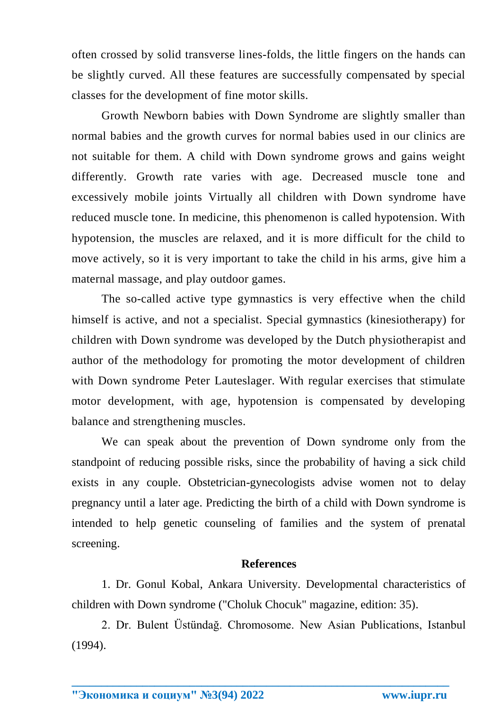often crossed by solid transverse lines-folds, the little fingers on the hands can be slightly curved. All these features are successfully compensated by special classes for the development of fine motor skills.

Growth Newborn babies with Down Syndrome are slightly smaller than normal babies and the growth curves for normal babies used in our clinics are not suitable for them. A child with Down syndrome grows and gains weight differently. Growth rate varies with age. Decreased muscle tone and excessively mobile joints Virtually all children with Down syndrome have reduced muscle tone. In medicine, this phenomenon is called hypotension. With hypotension, the muscles are relaxed, and it is more difficult for the child to move actively, so it is very important to take the child in his arms, give him a maternal massage, and play outdoor games.

The so-called active type gymnastics is very effective when the child himself is active, and not a specialist. Special gymnastics (kinesiotherapy) for children with Down syndrome was developed by the Dutch physiotherapist and author of the methodology for promoting the motor development of children with Down syndrome Peter Lauteslager. With regular exercises that stimulate motor development, with age, hypotension is compensated by developing balance and strengthening muscles.

We can speak about the prevention of Down syndrome only from the standpoint of reducing possible risks, since the probability of having a sick child exists in any couple. Obstetrician-gynecologists advise women not to delay pregnancy until a later age. Predicting the birth of a child with Down syndrome is intended to help genetic counseling of families and the system of prenatal screening.

#### **References**

1. Dr. Gonul Kobal, Ankara University. Developmental characteristics of children with Down syndrome ("Choluk Chocuk" magazine, edition: 35).

2. Dr. Bulent Üstündağ. Chromosome. New Asian Publications, Istanbul (1994).